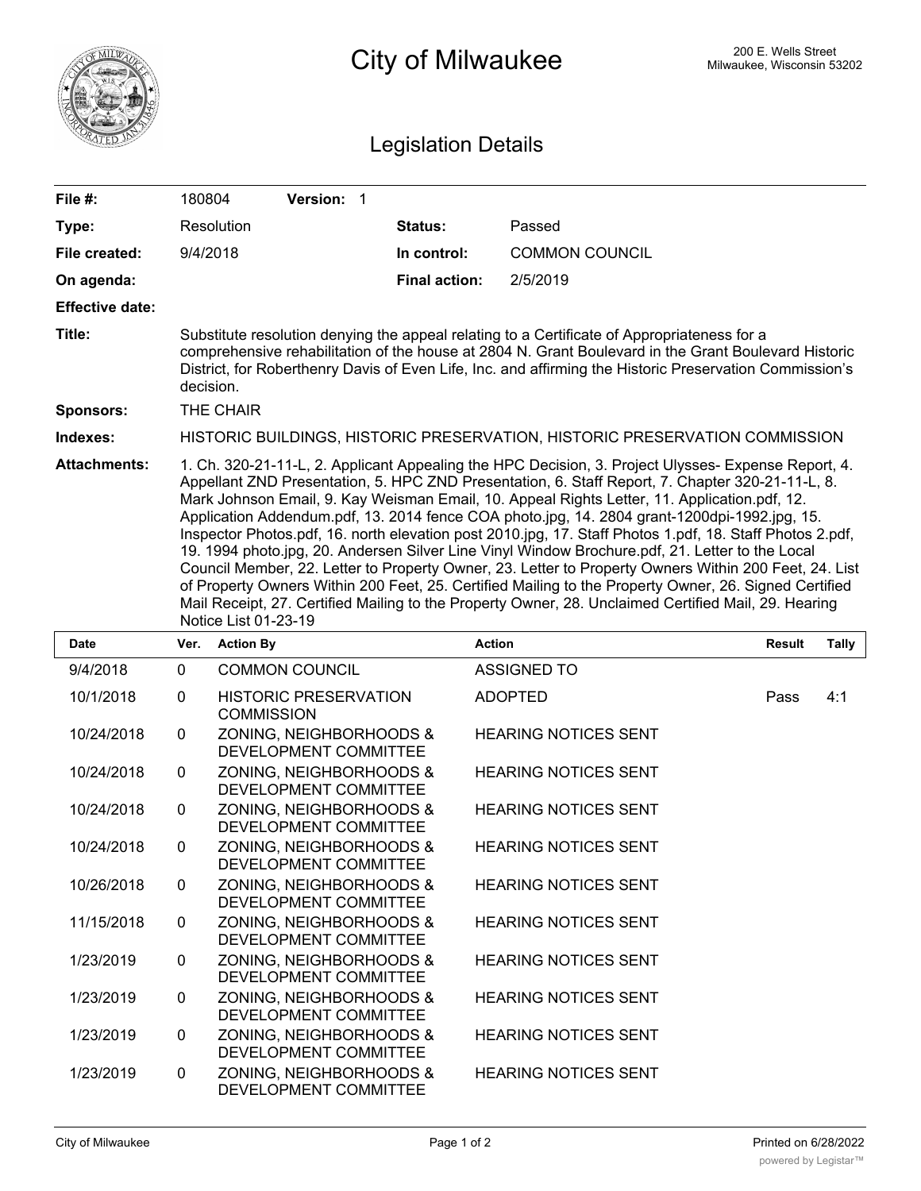

## 200 E. Wells Street 200 E. Wells Street 200 E. Wells Street

## Legislation Details

| File $#$ :             | 180804                                                                                                                                                                                                                                                                                                                                                                                                                                                                                                                                                                                                                                                                                                                                                                                                                                                                                                                                                                   |                   | Version: 1                   |                      |                       |               |       |  |  |
|------------------------|--------------------------------------------------------------------------------------------------------------------------------------------------------------------------------------------------------------------------------------------------------------------------------------------------------------------------------------------------------------------------------------------------------------------------------------------------------------------------------------------------------------------------------------------------------------------------------------------------------------------------------------------------------------------------------------------------------------------------------------------------------------------------------------------------------------------------------------------------------------------------------------------------------------------------------------------------------------------------|-------------------|------------------------------|----------------------|-----------------------|---------------|-------|--|--|
| Type:                  | Resolution                                                                                                                                                                                                                                                                                                                                                                                                                                                                                                                                                                                                                                                                                                                                                                                                                                                                                                                                                               |                   |                              | Status:              | Passed                |               |       |  |  |
| File created:          | 9/4/2018                                                                                                                                                                                                                                                                                                                                                                                                                                                                                                                                                                                                                                                                                                                                                                                                                                                                                                                                                                 |                   |                              | In control:          | <b>COMMON COUNCIL</b> |               |       |  |  |
| On agenda:             |                                                                                                                                                                                                                                                                                                                                                                                                                                                                                                                                                                                                                                                                                                                                                                                                                                                                                                                                                                          |                   |                              | <b>Final action:</b> | 2/5/2019              |               |       |  |  |
| <b>Effective date:</b> |                                                                                                                                                                                                                                                                                                                                                                                                                                                                                                                                                                                                                                                                                                                                                                                                                                                                                                                                                                          |                   |                              |                      |                       |               |       |  |  |
| Title:                 | Substitute resolution denying the appeal relating to a Certificate of Appropriateness for a<br>comprehensive rehabilitation of the house at 2804 N. Grant Boulevard in the Grant Boulevard Historic<br>District, for Roberthenry Davis of Even Life, Inc. and affirming the Historic Preservation Commission's<br>decision.                                                                                                                                                                                                                                                                                                                                                                                                                                                                                                                                                                                                                                              |                   |                              |                      |                       |               |       |  |  |
| <b>Sponsors:</b>       |                                                                                                                                                                                                                                                                                                                                                                                                                                                                                                                                                                                                                                                                                                                                                                                                                                                                                                                                                                          | THE CHAIR         |                              |                      |                       |               |       |  |  |
| Indexes:               | HISTORIC BUILDINGS, HISTORIC PRESERVATION, HISTORIC PRESERVATION COMMISSION                                                                                                                                                                                                                                                                                                                                                                                                                                                                                                                                                                                                                                                                                                                                                                                                                                                                                              |                   |                              |                      |                       |               |       |  |  |
| <b>Attachments:</b>    | 1. Ch. 320-21-11-L, 2. Applicant Appealing the HPC Decision, 3. Project Ulysses- Expense Report, 4.<br>Appellant ZND Presentation, 5. HPC ZND Presentation, 6. Staff Report, 7. Chapter 320-21-11-L, 8.<br>Mark Johnson Email, 9. Kay Weisman Email, 10. Appeal Rights Letter, 11. Application.pdf, 12.<br>Application Addendum.pdf, 13. 2014 fence COA photo.jpg, 14. 2804 grant-1200dpi-1992.jpg, 15.<br>Inspector Photos.pdf, 16. north elevation post 2010.jpg, 17. Staff Photos 1.pdf, 18. Staff Photos 2.pdf,<br>19. 1994 photo.jpg, 20. Andersen Silver Line Vinyl Window Brochure.pdf, 21. Letter to the Local<br>Council Member, 22. Letter to Property Owner, 23. Letter to Property Owners Within 200 Feet, 24. List<br>of Property Owners Within 200 Feet, 25. Certified Mailing to the Property Owner, 26. Signed Certified<br>Mail Receipt, 27. Certified Mailing to the Property Owner, 28. Unclaimed Certified Mail, 29. Hearing<br>Notice List 01-23-19 |                   |                              |                      |                       |               |       |  |  |
| <b>Date</b>            | Ver.                                                                                                                                                                                                                                                                                                                                                                                                                                                                                                                                                                                                                                                                                                                                                                                                                                                                                                                                                                     | <b>Action By</b>  |                              |                      | <b>Action</b>         | <b>Result</b> | Tally |  |  |
| 9/4/2018               | $\mathbf 0$                                                                                                                                                                                                                                                                                                                                                                                                                                                                                                                                                                                                                                                                                                                                                                                                                                                                                                                                                              |                   | <b>COMMON COUNCIL</b>        |                      | <b>ASSIGNED TO</b>    |               |       |  |  |
| 10/1/2018              | 0                                                                                                                                                                                                                                                                                                                                                                                                                                                                                                                                                                                                                                                                                                                                                                                                                                                                                                                                                                        | <b>COMMISSION</b> | <b>HISTORIC PRESERVATION</b> |                      | <b>ADOPTED</b>        | Pass          | 4:1   |  |  |
| 10/24/2018             | <sup>n</sup>                                                                                                                                                                                                                                                                                                                                                                                                                                                                                                                                                                                                                                                                                                                                                                                                                                                                                                                                                             |                   | ZONING NEIGHRORHOODS &       |                      | HEARING NOTICES SENT  |               |       |  |  |

|            |              | <b>COMMISSION</b>                                |                             |
|------------|--------------|--------------------------------------------------|-----------------------------|
| 10/24/2018 | $\mathbf{0}$ | ZONING, NEIGHBORHOODS &<br>DEVELOPMENT COMMITTEE | <b>HEARING NOTICES SENT</b> |
| 10/24/2018 | 0            | ZONING, NEIGHBORHOODS &<br>DEVELOPMENT COMMITTEE | <b>HEARING NOTICES SENT</b> |
| 10/24/2018 | $\mathbf{0}$ | ZONING, NEIGHBORHOODS &<br>DEVELOPMENT COMMITTEE | <b>HEARING NOTICES SENT</b> |
| 10/24/2018 | 0            | ZONING, NEIGHBORHOODS &<br>DEVELOPMENT COMMITTEE | <b>HEARING NOTICES SENT</b> |
| 10/26/2018 | $\mathbf{0}$ | ZONING, NEIGHBORHOODS &<br>DEVELOPMENT COMMITTEE | <b>HEARING NOTICES SENT</b> |
| 11/15/2018 | 0            | ZONING, NEIGHBORHOODS &<br>DEVELOPMENT COMMITTEE | <b>HEARING NOTICES SENT</b> |
| 1/23/2019  | $\mathbf{0}$ | ZONING, NEIGHBORHOODS &<br>DEVELOPMENT COMMITTEE | <b>HEARING NOTICES SENT</b> |
| 1/23/2019  | $\mathbf{0}$ | ZONING, NEIGHBORHOODS &<br>DEVELOPMENT COMMITTEE | <b>HEARING NOTICES SENT</b> |
| 1/23/2019  | 0            | ZONING, NEIGHBORHOODS &<br>DEVELOPMENT COMMITTEE | <b>HEARING NOTICES SENT</b> |
| 1/23/2019  | $\mathbf{0}$ | ZONING, NEIGHBORHOODS &<br>DEVELOPMENT COMMITTEE | <b>HEARING NOTICES SENT</b> |